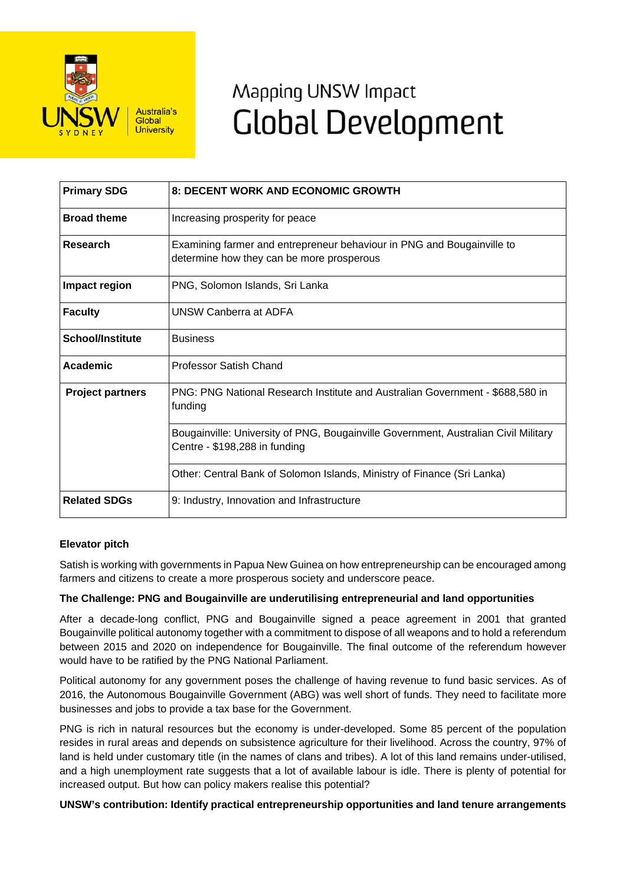

# Mapping UNSW Impact **Global Development**

| <b>Primary SDG</b>      | 8: DECENT WORK AND ECONOMIC GROWTH                                                                                   |
|-------------------------|----------------------------------------------------------------------------------------------------------------------|
| <b>Broad theme</b>      | Increasing prosperity for peace                                                                                      |
| <b>Research</b>         | Examining farmer and entrepreneur behaviour in PNG and Bougainville to<br>determine how they can be more prosperous  |
| Impact region           | PNG, Solomon Islands, Sri Lanka                                                                                      |
| <b>Faculty</b>          | <b>UNSW Canberra at ADFA</b>                                                                                         |
| <b>School/Institute</b> | <b>Business</b>                                                                                                      |
| Academic                | <b>Professor Satish Chand</b>                                                                                        |
| <b>Project partners</b> | PNG: PNG National Research Institute and Australian Government - \$688,580 in<br>funding                             |
|                         | Bougainville: University of PNG, Bougainville Government, Australian Civil Military<br>Centre - \$198,288 in funding |
|                         | Other: Central Bank of Solomon Islands, Ministry of Finance (Sri Lanka)                                              |
| <b>Related SDGs</b>     | 9: Industry, Innovation and Infrastructure                                                                           |

## **Elevator pitch**

Satish is working with governments in Papua New Guinea on how entrepreneurship can be encouraged among farmers and citizens to create a more prosperous society and underscore peace.

## **The Challenge: PNG and Bougainville are underutilising entrepreneurial and land opportunities**

After a decade-long conflict, PNG and Bougainville signed a peace agreement in 2001 that granted Bougainville political autonomy together with a commitment to dispose of all weapons and to hold a referendum between 2015 and 2020 on independence for Bougainville. The final outcome of the referendum however would have to be ratified by the PNG National Parliament.

Political autonomy for any government poses the challenge of having revenue to fund basic services. As of 2016, the Autonomous Bougainville Government (ABG) was well short of funds. They need to facilitate more businesses and jobs to provide a tax base for the Government.

PNG is rich in natural resources but the economy is under-developed. Some 85 percent of the population resides in rural areas and depends on subsistence agriculture for their livelihood. Across the country, 97% of land is held under customary title (in the names of clans and tribes). A lot of this land remains under-utilised, and a high unemployment rate suggests that a lot of available labour is idle. There is plenty of potential for increased output. But how can policy makers realise this potential?

## **UNSW's contribution: Identify practical entrepreneurship opportunities and land tenure arrangements**